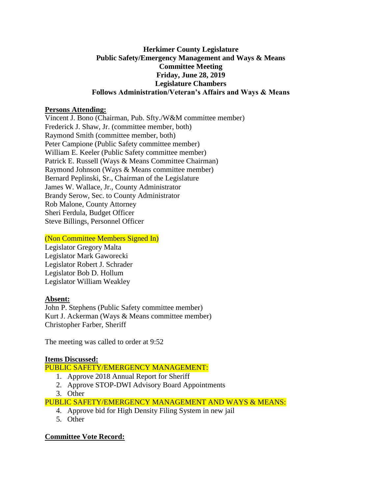### **Herkimer County Legislature Public Safety/Emergency Management and Ways & Means Committee Meeting Friday, June 28, 2019 Legislature Chambers Follows Administration/Veteran's Affairs and Ways & Means**

#### **Persons Attending:**

Vincent J. Bono (Chairman, Pub. Sfty./W&M committee member) Frederick J. Shaw, Jr. (committee member, both) Raymond Smith (committee member, both) Peter Campione (Public Safety committee member) William E. Keeler (Public Safety committee member) Patrick E. Russell (Ways & Means Committee Chairman) Raymond Johnson (Ways & Means committee member) Bernard Peplinski, Sr., Chairman of the Legislature James W. Wallace, Jr., County Administrator Brandy Serow, Sec. to County Administrator Rob Malone, County Attorney Sheri Ferdula, Budget Officer Steve Billings, Personnel Officer

### (Non Committee Members Signed In)

Legislator Gregory Malta Legislator Mark Gaworecki Legislator Robert J. Schrader Legislator Bob D. Hollum Legislator William Weakley

# **Absent:**

John P. Stephens (Public Safety committee member) Kurt J. Ackerman (Ways & Means committee member) Christopher Farber, Sheriff

The meeting was called to order at 9:52

# **Items Discussed:**

# PUBLIC SAFETY/EMERGENCY MANAGEMENT:

- 1. Approve 2018 Annual Report for Sheriff
- 2. Approve STOP-DWI Advisory Board Appointments
- 3. Other

PUBLIC SAFETY/EMERGENCY MANAGEMENT AND WAYS & MEANS:

- 4. Approve bid for High Density Filing System in new jail
- 5. Other

# **Committee Vote Record:**